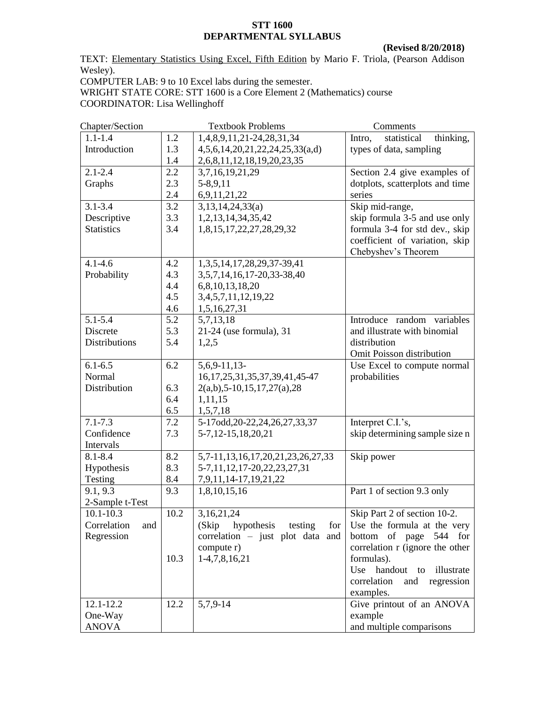## **STT 1600 DEPARTMENTAL SYLLABUS**

 **(Revised 8/20/2018)**

TEXT: Elementary Statistics Using Excel, Fifth Edition by Mario F. Triola, (Pearson Addison Wesley). COMPUTER LAB: 9 to 10 Excel labs during the semester.

WRIGHT STATE CORE: STT 1600 is a Core Element 2 (Mathematics) course COORDINATOR: Lisa Wellinghoff

| Chapter/Section      |      | <b>Textbook Problems</b>              | Comments                           |
|----------------------|------|---------------------------------------|------------------------------------|
| $1.1 - 1.4$          | 1.2  | 1,4,8,9,11,21-24,28,31,34             | statistical<br>thinking,<br>Intro, |
| Introduction         | 1.3  | 4,5,6,14,20,21,22,24,25,33(a,d)       | types of data, sampling            |
|                      | 1.4  | 2,6,8,11,12,18,19,20,23,35            |                                    |
| $2.1 - 2.4$          | 2.2  | 3,7,16,19,21,29                       | Section 2.4 give examples of       |
| Graphs               | 2.3  | 5-8,9,11                              | dotplots, scatterplots and time    |
|                      | 2.4  | 6,9,11,21,22                          | series                             |
| $3.1 - 3.4$          | 3.2  | 3,13,14,24,33(a)                      | Skip mid-range,                    |
| Descriptive          | 3.3  | 1, 2, 13, 14, 34, 35, 42              | skip formula 3-5 and use only      |
| <b>Statistics</b>    | 3.4  | 1,8,15,17,22,27,28,29,32              | formula 3-4 for std dev., skip     |
|                      |      |                                       | coefficient of variation, skip     |
|                      |      |                                       | Chebyshev's Theorem                |
| $4.1 - 4.6$          | 4.2  | 1, 3, 5, 14, 17, 28, 29, 37-39, 41    |                                    |
| Probability          | 4.3  | 3,5,7,14,16,17-20,33-38,40            |                                    |
|                      | 4.4  | 6,8,10,13,18,20                       |                                    |
|                      | 4.5  | 3, 4, 5, 7, 11, 12, 19, 22            |                                    |
|                      | 4.6  | 1,5,16,27,31                          |                                    |
| $5.1 - 5.4$          | 5.2  | 5,7,13,18                             | Introduce random variables         |
| Discrete             | 5.3  | 21-24 (use formula), 31               | and illustrate with binomial       |
| <b>Distributions</b> | 5.4  | 1,2,5                                 | distribution                       |
|                      |      |                                       | Omit Poisson distribution          |
| $6.1 - 6.5$          | 6.2  | $5,6,9-11,13-$                        | Use Excel to compute normal        |
| Normal               |      | 16, 17, 25, 31, 35, 37, 39, 41, 45-47 | probabilities                      |
| Distribution         | 6.3  | $2(a,b)$ , 5-10, 15, 17, 27(a), 28    |                                    |
|                      | 6.4  | 1,11,15                               |                                    |
|                      | 6.5  | 1,5,7,18                              |                                    |
| $7.1 - 7.3$          | 7.2  | 5-17odd, 20-22, 24, 26, 27, 33, 37    | Interpret C.I.'s,                  |
| Confidence           | 7.3  | 5-7,12-15,18,20,21                    | skip determining sample size n     |
| Intervals            |      |                                       |                                    |
| $8.1 - 8.4$          | 8.2  | 5,7-11,13,16,17,20,21,23,26,27,33     | Skip power                         |
| Hypothesis           | 8.3  | 5-7, 11, 12, 17-20, 22, 23, 27, 31    |                                    |
| Testing              | 8.4  | 7,9,11,14-17,19,21,22                 |                                    |
| 9.1, 9.3             | 9.3  | 1,8,10,15,16                          | Part 1 of section 9.3 only         |
| 2-Sample t-Test      |      |                                       |                                    |
| $10.1 - 10.3$        | 10.2 | 3,16,21,24                            | Skip Part 2 of section 10-2.       |
| Correlation<br>and   |      | hypothesis testing<br>(Skip)<br>for   | Use the formula at the very        |
| Regression           |      | correlation - just plot data and      | bottom of page 544 for             |
|                      |      | compute r)                            | correlation r (ignore the other    |
|                      | 10.3 | 1-4,7,8,16,21                         | formulas).                         |
|                      |      |                                       | Use handout<br>illustrate<br>to    |
|                      |      |                                       | correlation<br>and<br>regression   |
|                      |      |                                       | examples.                          |
| 12.1-12.2            | 12.2 | 5,7,9-14                              | Give printout of an ANOVA          |
| One-Way              |      |                                       | example                            |
| <b>ANOVA</b>         |      |                                       | and multiple comparisons           |